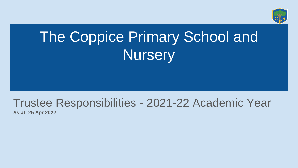

# The Coppice Primary School and **Nursery**

# Trustee Responsibilities - 2021-22 Academic Year

**As at: 25 Apr 2022**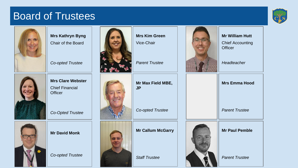#### Board of Trustees





**Mrs Kathryn Byng** Chair of the Board

*Co-opted Trustee*



**Mrs Clare Webster** Chief Financial **Officer** 

*Co-Opted Trustee*



**Mr David Monk**

*Co-opted Trustee*



**Mrs Kim Green** Vice-Chair

*Parent Trustee*















**Mr William Hutt**

Chief Accounting **Officer** 

*Headteacher*

| <b>Mrs Emma Hood</b>  |
|-----------------------|
| <b>Parent Trustee</b> |



*Parent Trustee*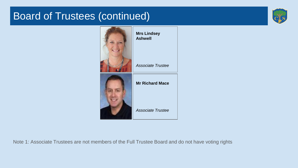## Board of Trustees (continued)





Note 1: Associate Trustees are not members of the Full Trustee Board and do not have voting rights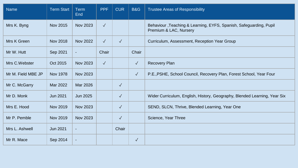| <b>Name</b>        | <b>Term Start</b> | <b>Term</b><br><b>End</b> | <b>PPF</b>   | <b>CUR</b> | <b>B&amp;G</b> | <b>Trustee Areas of Responsibility</b>                                                       |
|--------------------|-------------------|---------------------------|--------------|------------|----------------|----------------------------------------------------------------------------------------------|
| Mrs K. Byng        | Nov 2015          | Nov 2023                  | $\sqrt{}$    |            |                | Behaviour, Teaching & Learning, EYFS, Spanish, Safeguarding, Pupil<br>Premium & LAC, Nursery |
| Mrs K Green        | <b>Nov 2018</b>   | <b>Nov 2022</b>           | $\sqrt{ }$   | $\sqrt{}$  |                | Curriculum, Assessment, Reception Year Group                                                 |
| Mr W. Hutt         | Sep 2021          | $\blacksquare$            | Chair        |            | Chair          |                                                                                              |
| Mrs C. Webster     | Oct 2015          | Nov 2023                  | $\checkmark$ |            | $\sqrt{}$      | <b>Recovery Plan</b>                                                                         |
| Mr M. Field MBE JP | Nov 1978          | Nov 2023                  |              |            | $\sqrt{ }$     | P.E., PSHE, School Council, Recovery Plan, Forest School, Year Four                          |
| Mr C. McGarry      | Mar 2022          | Mar 2026                  |              | $\sqrt{}$  |                |                                                                                              |
| Mr D. Monk         | Jun 2021          | Jun 2025                  |              | $\sqrt{}$  |                | Wider Curriculum, English, History, Geography, Blended Learning, Year Six                    |
| Mrs E. Hood        | Nov 2019          | Nov 2023                  |              | $\sqrt{}$  |                | SEND, SLCN, Thrive, Blended Learning, Year One                                               |
| Mr P. Pemble       | Nov 2019          | Nov 2023                  |              | $\sqrt{}$  |                | Science, Year Three                                                                          |
| Mrs L. Ashwell     | Jun 2021          | $\blacksquare$            |              | Chair      |                |                                                                                              |
| Mr R. Mace         | Sep 2014          | $\blacksquare$            |              |            | $\checkmark$   |                                                                                              |